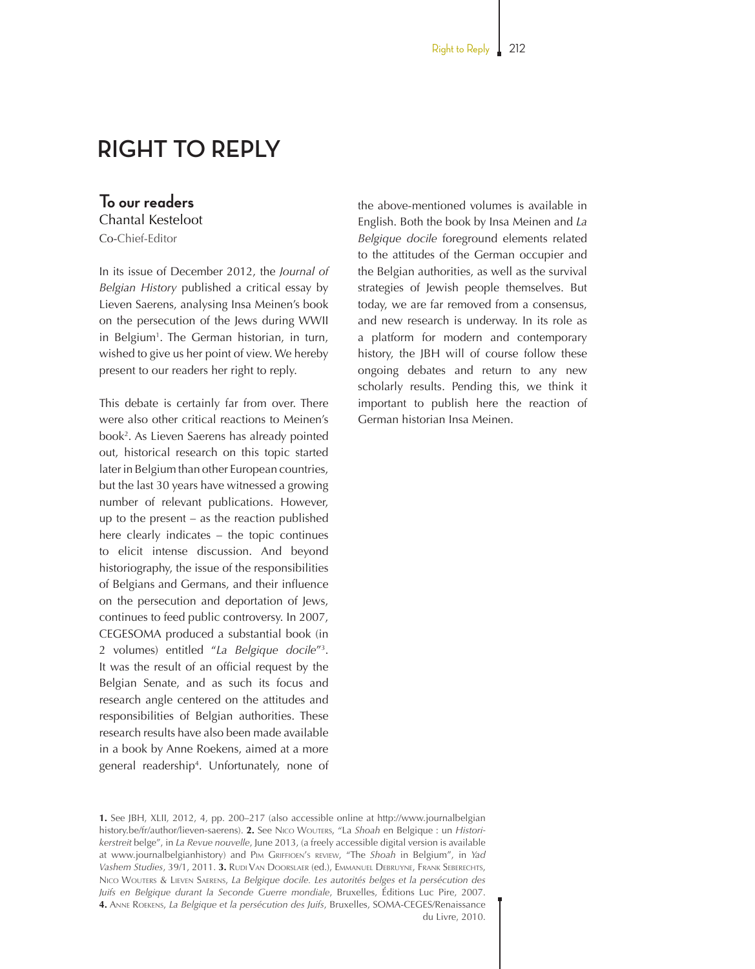# **RIGHT TO REPLY**

# **To our readers**

Chantal Kesteloot

Co-Chief-Editor

In its issue of December 2012, the *Journal of Belgian History* published a critical essay by Lieven Saerens, analysing Insa Meinen's book on the persecution of the Jews during WWII in Belgium<sup>1</sup>. The German historian, in turn, wished to give us her point of view. We hereby present to our readers her right to reply.

This debate is certainly far from over. There were also other critical reactions to Meinen's book2 . As Lieven Saerens has already pointed out, historical research on this topic started later in Belgium than other European countries, but the last 30 years have witnessed a growing number of relevant publications. However, up to the present – as the reaction published here clearly indicates – the topic continues to elicit intense discussion. And beyond historiography, the issue of the responsibilities of Belgians and Germans, and their influence on the persecution and deportation of Jews, continues to feed public controversy. In 2007, CEGESOMA produced a substantial book (in 2 volumes) entitled "*La Belgique docile*"3 . It was the result of an official request by the Belgian Senate, and as such its focus and research angle centered on the attitudes and responsibilities of Belgian authorities. These research results have also been made available in a book by Anne Roekens, aimed at a more general readership4 . Unfortunately, none of the above-mentioned volumes is available in English. Both the book by Insa Meinen and *La Belgique docile* foreground elements related to the attitudes of the German occupier and the Belgian authorities, as well as the survival strategies of Jewish people themselves. But today, we are far removed from a consensus, and new research is underway. In its role as a platform for modern and contemporary history, the JBH will of course follow these ongoing debates and return to any new scholarly results. Pending this, we think it important to publish here the reaction of German historian Insa Meinen.

**1.** See JBH, XLII, 2012, 4, pp. 200–217 (also accessible online at http://www.journalbelgian history.be/fr/author/lieven-saerens). **2.** See Nico Wouters, "La *Shoah* en Belgique : un *Historikerstreit* belge", in *La Revue nouvelle*, June 2013, (a freely accessible digital version is available at www.journalbelgianhistory) and Pim Griffioen's review, "The *Shoah* in Belgium", in *Yad*  Vashem Studies, 39/1, 2011. **3.** Rudi Van Doorslaer (ed.), EMMANUEL DEBRUYNE, FRANK SEBERECHTS, Nico Wouters & Lieven Saerens, *La Belgique docile. Les autorités belges et la persécution des Juifs en Belgique durant la Seconde Guerre mondiale*, Bruxelles, Éditions Luc Pire, 2007. **4.** Anne Roekens, *La Belgique et la persécution des Juifs*, Bruxelles, SOMA-CEGES/Renaissance du Livre, 2010.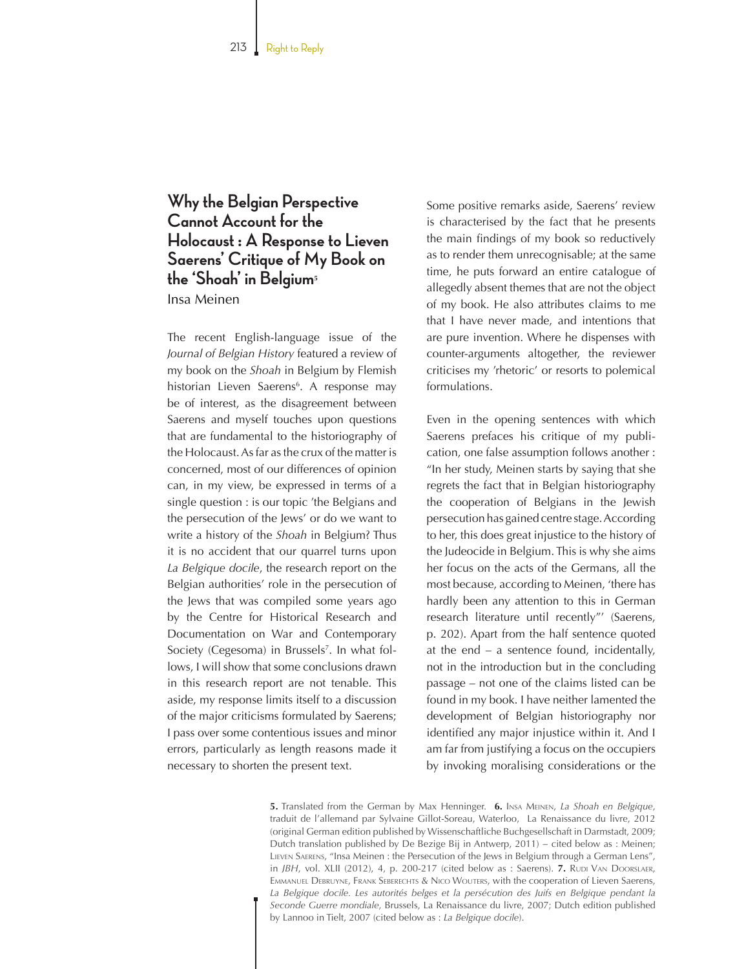## **Why the Belgian Perspective Cannot Account for the Holocaust : A Response to Lieven Saerens' Critique of My Book on the 'Shoah' in Belgium<sup>5</sup>** Insa Meinen

The recent English-language issue of the *Journal of Belgian History* featured a review of my book on the *Shoah* in Belgium by Flemish historian Lieven Saerens<sup>6</sup>. A response may be of interest, as the disagreement between Saerens and myself touches upon questions that are fundamental to the historiography of the Holocaust. As far as the crux of the matter is concerned, most of our differences of opinion can, in my view, be expressed in terms of a single question : is our topic 'the Belgians and the persecution of the Jews' or do we want to write a history of the *Shoah* in Belgium? Thus it is no accident that our quarrel turns upon *La Belgique docile*, the research report on the Belgian authorities' role in the persecution of the Jews that was compiled some years ago by the Centre for Historical Research and Documentation on War and Contemporary Society (Cegesoma) in Brussels<sup>7</sup>. In what follows, I will show that some conclusions drawn in this research report are not tenable. This aside, my response limits itself to a discussion of the major criticisms formulated by Saerens; I pass over some contentious issues and minor errors, particularly as length reasons made it necessary to shorten the present text.

Some positive remarks aside, Saerens' review is characterised by the fact that he presents the main findings of my book so reductively as to render them unrecognisable; at the same time, he puts forward an entire catalogue of allegedly absent themes that are not the object of my book. He also attributes claims to me that I have never made, and intentions that are pure invention. Where he dispenses with counter-arguments altogether, the reviewer criticises my 'rhetoric' or resorts to polemical formulations.

Even in the opening sentences with which Saerens prefaces his critique of my publication, one false assumption follows another : "In her study, Meinen starts by saying that she regrets the fact that in Belgian historiography the cooperation of Belgians in the Jewish persecution has gained centre stage. According to her, this does great injustice to the history of the Judeocide in Belgium. This is why she aims her focus on the acts of the Germans, all the most because, according to Meinen, 'there has hardly been any attention to this in German research literature until recently"' (Saerens, p. 202). Apart from the half sentence quoted at the end – a sentence found, incidentally, not in the introduction but in the concluding passage – not one of the claims listed can be found in my book. I have neither lamented the development of Belgian historiography nor identified any major injustice within it. And I am far from justifying a focus on the occupiers by invoking moralising considerations or the

**5.** Translated from the German by Max Henninger. **6.** Insa Meinen, *La Shoah en Belgique*, traduit de l'allemand par Sylvaine Gillot-Soreau, Waterloo, La Renaissance du livre, 2012 (original German edition published by Wissenschaftliche Buchgesellschaft in Darmstadt, 2009; Dutch translation published by De Bezige Bij in Antwerp, 2011) − cited below as : Meinen; Lieven Saerens, "Insa Meinen : the Persecution of the Jews in Belgium through a German Lens", in *JBH*, vol. XLII (2012), 4, p. 200-217 (cited below as : Saerens). 7. RUDI VAN DOORSLAER, EMMANUEL DEBRUYNE, FRANK SEBERECHTS & NICO WOUTERS, with the cooperation of Lieven Saerens, La Belgique docile. Les autorités belges et la persécution des Juifs en Belgique pendant la *Seconde Guerre mondiale*, Brussels, La Renaissance du livre, 2007; Dutch edition published by Lannoo in Tielt, 2007 (cited below as : *La Belgique docile*).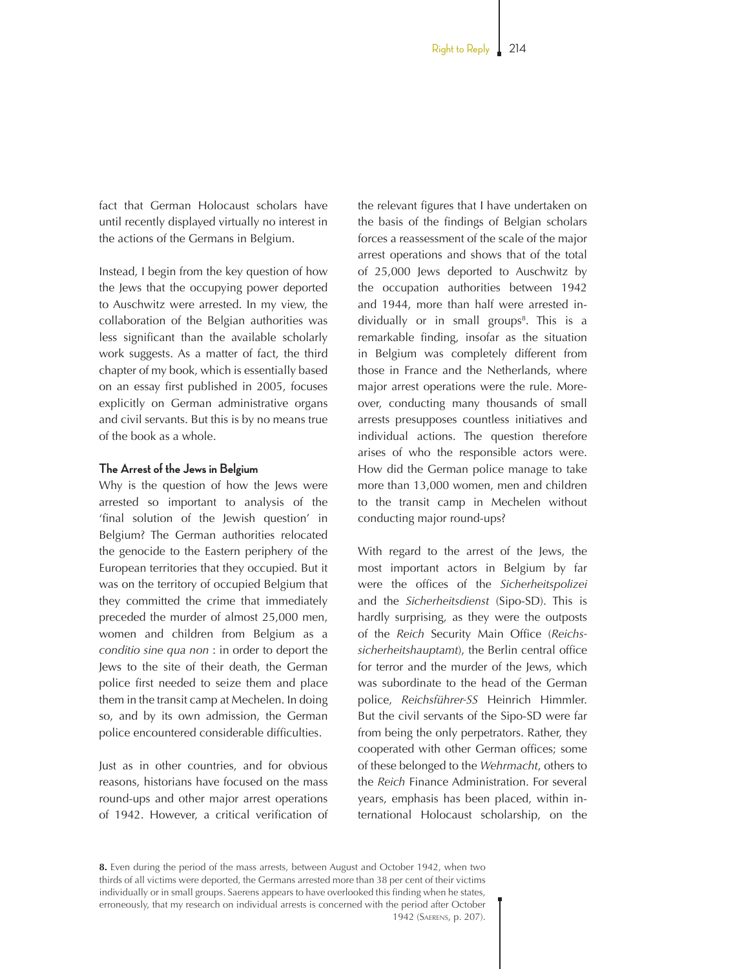fact that German Holocaust scholars have until recently displayed virtually no interest in the actions of the Germans in Belgium.

Instead, I begin from the key question of how the Jews that the occupying power deported to Auschwitz were arrested. In my view, the collaboration of the Belgian authorities was less significant than the available scholarly work suggests. As a matter of fact, the third chapter of my book, which is essentially based on an essay first published in 2005, focuses explicitly on German administrative organs and civil servants. But this is by no means true of the book as a whole.

#### **The Arrest of the Jews in Belgium**

Why is the question of how the Jews were arrested so important to analysis of the 'final solution of the Jewish question' in Belgium? The German authorities relocated the genocide to the Eastern periphery of the European territories that they occupied. But it was on the territory of occupied Belgium that they committed the crime that immediately preceded the murder of almost 25,000 men, women and children from Belgium as a *conditio sine qua non* : in order to deport the Jews to the site of their death, the German police first needed to seize them and place them in the transit camp at Mechelen. In doing so, and by its own admission, the German police encountered considerable difficulties.

Just as in other countries, and for obvious reasons, historians have focused on the mass round-ups and other major arrest operations of 1942. However, a critical verification of the relevant figures that I have undertaken on the basis of the findings of Belgian scholars forces a reassessment of the scale of the major arrest operations and shows that of the total of 25,000 Jews deported to Auschwitz by the occupation authorities between 1942 and 1944, more than half were arrested individually or in small groups<sup>8</sup>. This is a remarkable finding, insofar as the situation in Belgium was completely different from those in France and the Netherlands, where major arrest operations were the rule. Moreover, conducting many thousands of small arrests presupposes countless initiatives and individual actions. The question therefore arises of who the responsible actors were. How did the German police manage to take more than 13,000 women, men and children to the transit camp in Mechelen without conducting major round-ups?

With regard to the arrest of the Jews, the most important actors in Belgium by far were the offices of the *Sicherheitspolizei* and the *Sicherheitsdienst* (Sipo-SD). This is hardly surprising, as they were the outposts of the *Reich* Security Main Office (*Reichssicherheitshauptamt*), the Berlin central office for terror and the murder of the Jews, which was subordinate to the head of the German police, *Reichsführer-SS* Heinrich Himmler. But the civil servants of the Sipo-SD were far from being the only perpetrators. Rather, they cooperated with other German offices; some of these belonged to the *Wehrmacht*, others to the *Reich* Finance Administration. For several years, emphasis has been placed, within international Holocaust scholarship, on the

**<sup>8.</sup>** Even during the period of the mass arrests, between August and October 1942, when two thirds of all victims were deported, the Germans arrested more than 38 per cent of their victims individually or in small groups. Saerens appears to have overlooked this finding when he states, erroneously, that my research on individual arrests is concerned with the period after October 1942 (Saerens, p. 207).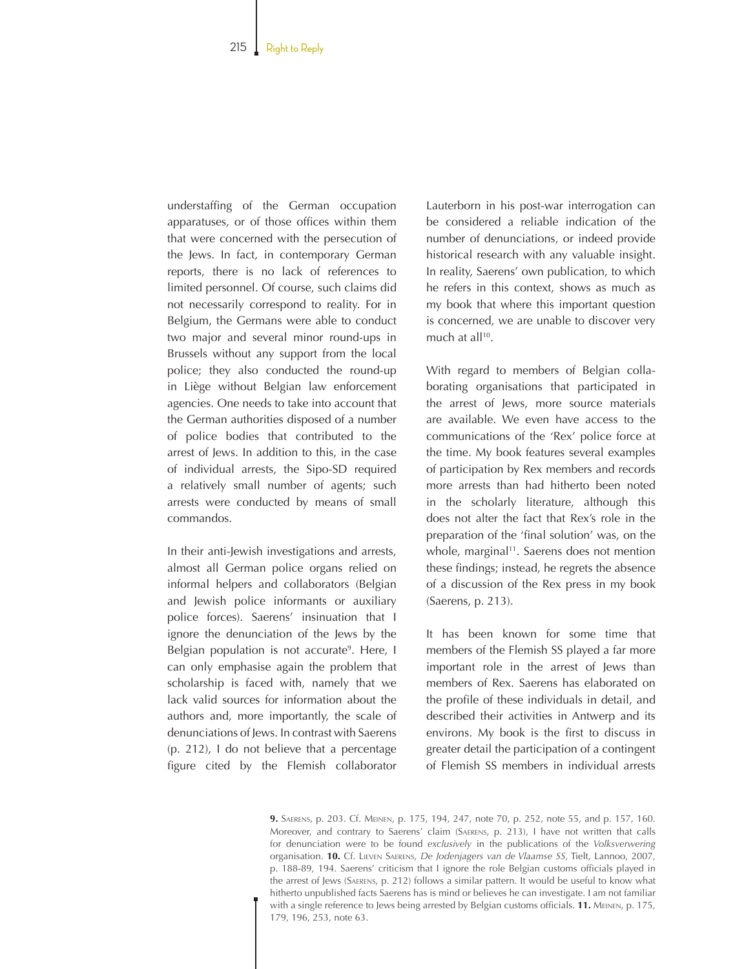understaffing of the German occupation apparatuses, or of those offices within them that were concerned with the persecution of the Jews. In fact, in contemporary German reports, there is no lack of references to limited personnel. Of course, such claims did not necessarily correspond to reality. For in Belgium, the Germans were able to conduct two major and several minor round-ups in Brussels without any support from the local police; they also conducted the round-up in Liège without Belgian law enforcement agencies. One needs to take into account that the German authorities disposed of a number of police bodies that contributed to the arrest of Jews. In addition to this, in the case of individual arrests, the Sipo-SD required a relatively small number of agents; such arrests were conducted by means of small commandos.

In their anti-Jewish investigations and arrests, almost all German police organs relied on informal helpers and collaborators (Belgian and Jewish police informants or auxiliary police forces). Saerens' insinuation that I ignore the denunciation of the Jews by the Belgian population is not accurate<sup>9</sup>. Here, I can only emphasise again the problem that scholarship is faced with, namely that we lack valid sources for information about the authors and, more importantly, the scale of denunciations of Jews. In contrast with Saerens (p. 212), I do not believe that a percentage figure cited by the Flemish collaborator

Lauterborn in his post-war interrogation can be considered a reliable indication of the number of denunciations, or indeed provide historical research with any valuable insight. In reality, Saerens' own publication, to which he refers in this context, shows as much as my book that where this important question is concerned, we are unable to discover very much at all<sup>10</sup>.

With regard to members of Belgian collaborating organisations that participated in the arrest of Jews, more source materials are available. We even have access to the communications of the 'Rex' police force at the time. My book features several examples of participation by Rex members and records more arrests than had hitherto been noted in the scholarly literature, although this does not alter the fact that Rex's role in the preparation of the 'final solution' was, on the whole, marginal<sup>11</sup>. Saerens does not mention these findings; instead, he regrets the absence of a discussion of the Rex press in my book (Saerens, p. 213).

It has been known for some time that members of the Flemish SS played a far more important role in the arrest of Jews than members of Rex. Saerens has elaborated on the profile of these individuals in detail, and described their activities in Antwerp and its environs. My book is the first to discuss in greater detail the participation of a contingent of Flemish SS members in individual arrests

**9.** Saerens, p. 203. Cf. Meinen, p. 175, 194, 247, note 70, p. 252, note 55, and p. 157, 160. Moreover, and contrary to Saerens' claim (Saerens, p. 213), I have not written that calls for denunciation were to be found *exclusively* in the publications of the *Volksverwering* organisation. **10.** Cf. Lieven Saerens, *De Jodenjagers van de Vlaamse SS*, Tielt, Lannoo, 2007, p. 188-89, 194. Saerens' criticism that I ignore the role Belgian customs officials played in the arrest of Jews (Saerens, p. 212) follows a similar pattern. It would be useful to know what hitherto unpublished facts Saerens has is mind or believes he can investigate. I am not familiar with a single reference to Jews being arrested by Belgian customs officials. **11.** Meinen, p. 175, 179, 196, 253, note 63.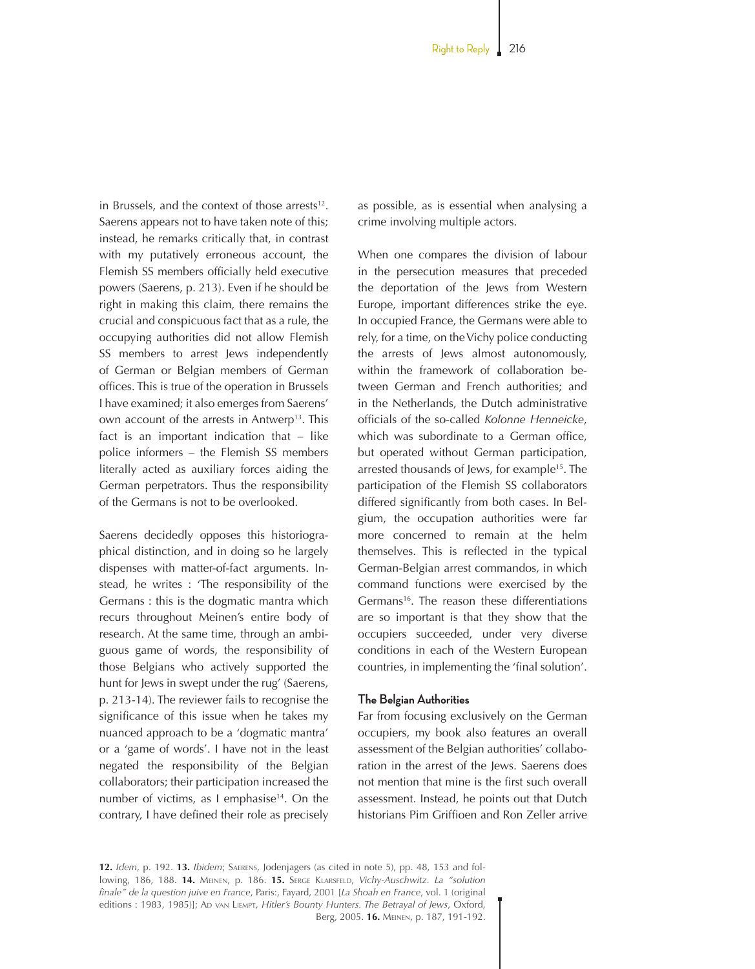in Brussels, and the context of those arrests $12$ . Saerens appears not to have taken note of this; instead, he remarks critically that, in contrast with my putatively erroneous account, the Flemish SS members officially held executive powers (Saerens, p. 213). Even if he should be right in making this claim, there remains the crucial and conspicuous fact that as a rule, the occupying authorities did not allow Flemish SS members to arrest Jews independently of German or Belgian members of German offices. This is true of the operation in Brussels I have examined; it also emerges from Saerens' own account of the arrests in Antwerp<sup>13</sup>. This fact is an important indication that – like police informers – the Flemish SS members literally acted as auxiliary forces aiding the German perpetrators. Thus the responsibility of the Germans is not to be overlooked.

Saerens decidedly opposes this historiographical distinction, and in doing so he largely dispenses with matter-of-fact arguments. Instead, he writes : 'The responsibility of the Germans : this is the dogmatic mantra which recurs throughout Meinen's entire body of research. At the same time, through an ambiguous game of words, the responsibility of those Belgians who actively supported the hunt for Jews in swept under the rug' (Saerens, p. 213-14). The reviewer fails to recognise the significance of this issue when he takes my nuanced approach to be a 'dogmatic mantra' or a 'game of words'. I have not in the least negated the responsibility of the Belgian collaborators; their participation increased the number of victims, as I emphasise<sup>14</sup>. On the contrary, I have defined their role as precisely

as possible, as is essential when analysing a crime involving multiple actors.

When one compares the division of labour in the persecution measures that preceded the deportation of the Jews from Western Europe, important differences strike the eye. In occupied France, the Germans were able to rely, for a time, on the Vichy police conducting the arrests of Jews almost autonomously, within the framework of collaboration between German and French authorities; and in the Netherlands, the Dutch administrative officials of the so-called *Kolonne Henneicke*, which was subordinate to a German office, but operated without German participation, arrested thousands of Jews, for example<sup>15</sup>. The participation of the Flemish SS collaborators differed significantly from both cases. In Belgium, the occupation authorities were far more concerned to remain at the helm themselves. This is reflected in the typical German-Belgian arrest commandos, in which command functions were exercised by the Germans<sup>16</sup>. The reason these differentiations are so important is that they show that the occupiers succeeded, under very diverse conditions in each of the Western European countries, in implementing the 'final solution'.

#### **The Belgian Authorities**

Far from focusing exclusively on the German occupiers, my book also features an overall assessment of the Belgian authorities' collaboration in the arrest of the Jews. Saerens does not mention that mine is the first such overall assessment. Instead, he points out that Dutch historians Pim Griffioen and Ron Zeller arrive

**12.** *Idem*, p. 192. **13.** *Ibidem*; Saerens, Jodenjagers (as cited in note 5), pp. 48, 153 and following, 186, 188. **14.** Meinen, p. 186. **15.** Serge Klarsfeld, *Vichy-Auschwitz. La "solution finale" de la question juive en France*, Paris:, Fayard, 2001 [*La Shoah en France*, vol. 1 (original editions : 1983, 1985)]; AD van LIEMPT, *Hitler's Bounty Hunters. The Betrayal of Jews*, Oxford, Berg, 2005. **16.** Meinen, p. 187, 191-192.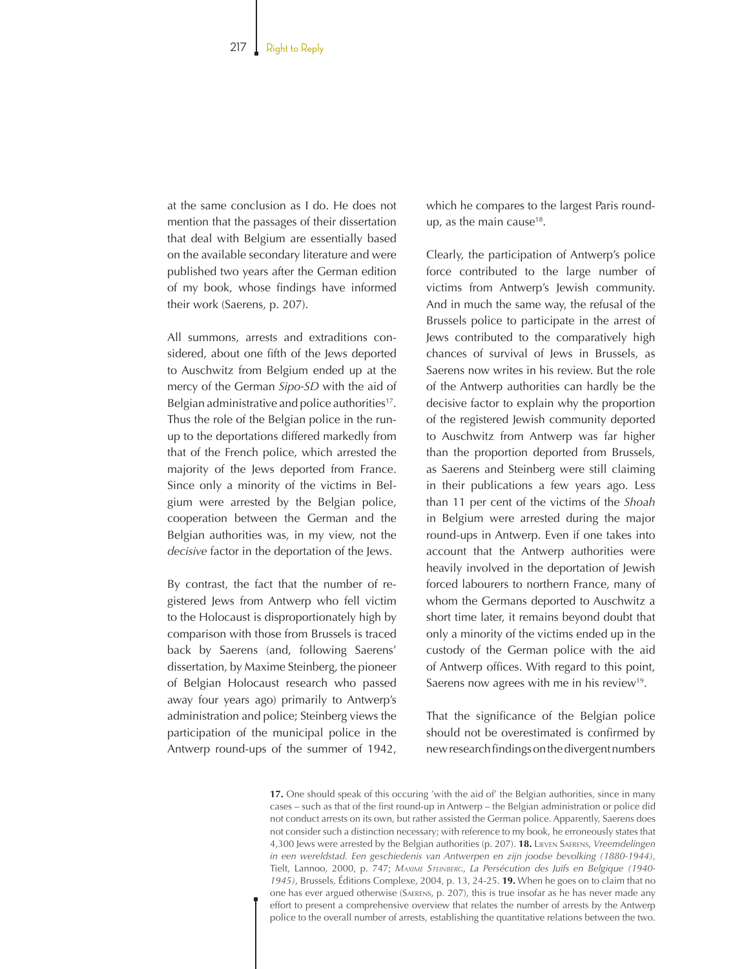at the same conclusion as I do. He does not mention that the passages of their dissertation that deal with Belgium are essentially based on the available secondary literature and were published two years after the German edition of my book, whose findings have informed their work (Saerens, p. 207).

All summons, arrests and extraditions considered, about one fifth of the Jews deported to Auschwitz from Belgium ended up at the mercy of the German *Sipo-SD* with the aid of Belgian administrative and police authorities<sup>17</sup>. Thus the role of the Belgian police in the runup to the deportations differed markedly from that of the French police, which arrested the majority of the Jews deported from France. Since only a minority of the victims in Belgium were arrested by the Belgian police, cooperation between the German and the Belgian authorities was, in my view, not the *decisive* factor in the deportation of the Jews.

By contrast, the fact that the number of registered Jews from Antwerp who fell victim to the Holocaust is disproportionately high by comparison with those from Brussels is traced back by Saerens (and, following Saerens' dissertation, by Maxime Steinberg, the pioneer of Belgian Holocaust research who passed away four years ago) primarily to Antwerp's administration and police; Steinberg views the participation of the municipal police in the Antwerp round-ups of the summer of 1942, which he compares to the largest Paris roundup, as the main cause<sup>18</sup>.

Clearly, the participation of Antwerp's police force contributed to the large number of victims from Antwerp's Jewish community. And in much the same way, the refusal of the Brussels police to participate in the arrest of Jews contributed to the comparatively high chances of survival of Jews in Brussels, as Saerens now writes in his review. But the role of the Antwerp authorities can hardly be the decisive factor to explain why the proportion of the registered Jewish community deported to Auschwitz from Antwerp was far higher than the proportion deported from Brussels, as Saerens and Steinberg were still claiming in their publications a few years ago. Less than 11 per cent of the victims of the *Shoah* in Belgium were arrested during the major round-ups in Antwerp. Even if one takes into account that the Antwerp authorities were heavily involved in the deportation of Jewish forced labourers to northern France, many of whom the Germans deported to Auschwitz a short time later, it remains beyond doubt that only a minority of the victims ended up in the custody of the German police with the aid of Antwerp offices. With regard to this point, Saerens now agrees with me in his review<sup>19</sup>.

That the significance of the Belgian police should not be overestimated is confirmed by new research findings on the divergent numbers

17. One should speak of this occuring 'with the aid of' the Belgian authorities, since in many cases – such as that of the first round-up in Antwerp – the Belgian administration or police did not conduct arrests on its own, but rather assisted the German police. Apparently, Saerens does not consider such a distinction necessary; with reference to my book, he erroneously states that 4,300 Jews were arrested by the Belgian authorities (p. 207). **18.** Lieven Saerens, *Vreemdelingen in een wereldstad. Een geschiedenis van Antwerpen en zijn joodse bevolking (1880-1944)*, Tielt, Lannoo, 2000, p. 747; *Maxime Steinberg*, *La Persécution des Juifs en Belgique (1940-1945)*, Brussels, Éditions Complexe, 2004, p. 13, 24-25. **19.** When he goes on to claim that no one has ever argued otherwise (Saerens, p. 207), this is true insofar as he has never made any effort to present a comprehensive overview that relates the number of arrests by the Antwerp police to the overall number of arrests, establishing the quantitative relations between the two.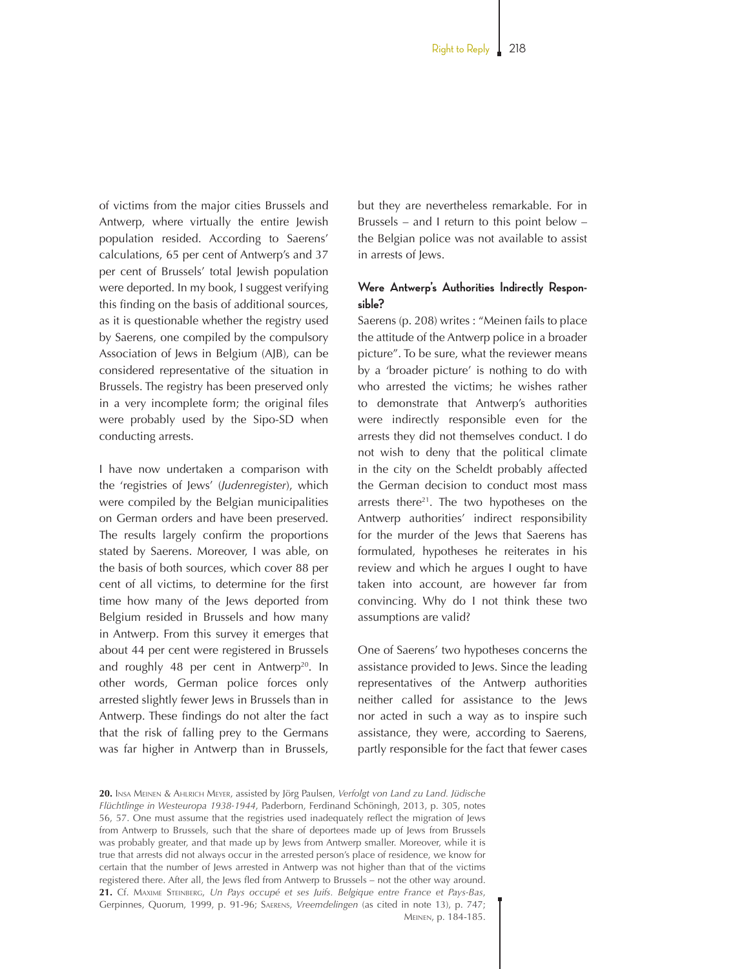of victims from the major cities Brussels and Antwerp, where virtually the entire Jewish population resided. According to Saerens' calculations, 65 per cent of Antwerp's and 37 per cent of Brussels' total Jewish population were deported. In my book, I suggest verifying this finding on the basis of additional sources, as it is questionable whether the registry used by Saerens, one compiled by the compulsory Association of Jews in Belgium (AJB), can be considered representative of the situation in Brussels. The registry has been preserved only in a very incomplete form; the original files were probably used by the Sipo-SD when conducting arrests.

I have now undertaken a comparison with the 'registries of Jews' (*Judenregister*), which were compiled by the Belgian municipalities on German orders and have been preserved. The results largely confirm the proportions stated by Saerens. Moreover, I was able, on the basis of both sources, which cover 88 per cent of all victims, to determine for the first time how many of the Jews deported from Belgium resided in Brussels and how many in Antwerp. From this survey it emerges that about 44 per cent were registered in Brussels and roughly 48 per cent in Antwerp<sup>20</sup>. In other words, German police forces only arrested slightly fewer Jews in Brussels than in Antwerp. These findings do not alter the fact that the risk of falling prey to the Germans was far higher in Antwerp than in Brussels,

but they are nevertheless remarkable. For in Brussels – and I return to this point below – the Belgian police was not available to assist in arrests of Jews.

### **Were Antwerp's Authorities Indirectly Responsible?**

Saerens (p. 208) writes : "Meinen fails to place the attitude of the Antwerp police in a broader picture". To be sure, what the reviewer means by a 'broader picture' is nothing to do with who arrested the victims; he wishes rather to demonstrate that Antwerp's authorities were indirectly responsible even for the arrests they did not themselves conduct. I do not wish to deny that the political climate in the city on the Scheldt probably affected the German decision to conduct most mass arrests there<sup>21</sup>. The two hypotheses on the Antwerp authorities' indirect responsibility for the murder of the Jews that Saerens has formulated, hypotheses he reiterates in his review and which he argues I ought to have taken into account, are however far from convincing. Why do I not think these two assumptions are valid?

One of Saerens' two hypotheses concerns the assistance provided to Jews. Since the leading representatives of the Antwerp authorities neither called for assistance to the Jews nor acted in such a way as to inspire such assistance, they were, according to Saerens, partly responsible for the fact that fewer cases

**<sup>20.</sup>** Insa Meinen & Ahlrich Meyer, assisted by Jörg Paulsen, *Verfolgt von Land zu Land. Jüdische Flüchtlinge in Westeuropa 1938-1944*, Paderborn, Ferdinand Schöningh, 2013, p. 305, notes 56, 57. One must assume that the registries used inadequately reflect the migration of Jews from Antwerp to Brussels, such that the share of deportees made up of Jews from Brussels was probably greater, and that made up by Jews from Antwerp smaller. Moreover, while it is true that arrests did not always occur in the arrested person's place of residence, we know for certain that the number of Jews arrested in Antwerp was not higher than that of the victims registered there. After all, the Jews fled from Antwerp to Brussels – not the other way around. **21.** Cf. Maxime Steinberg, *Un Pays occupé et ses Juifs. Belgique entre France et Pays-Bas*, Gerpinnes, Quorum, 1999, p. 91-96; Saerens, *Vreemdelingen* (as cited in note 13), p. 747; Meinen, p. 184-185.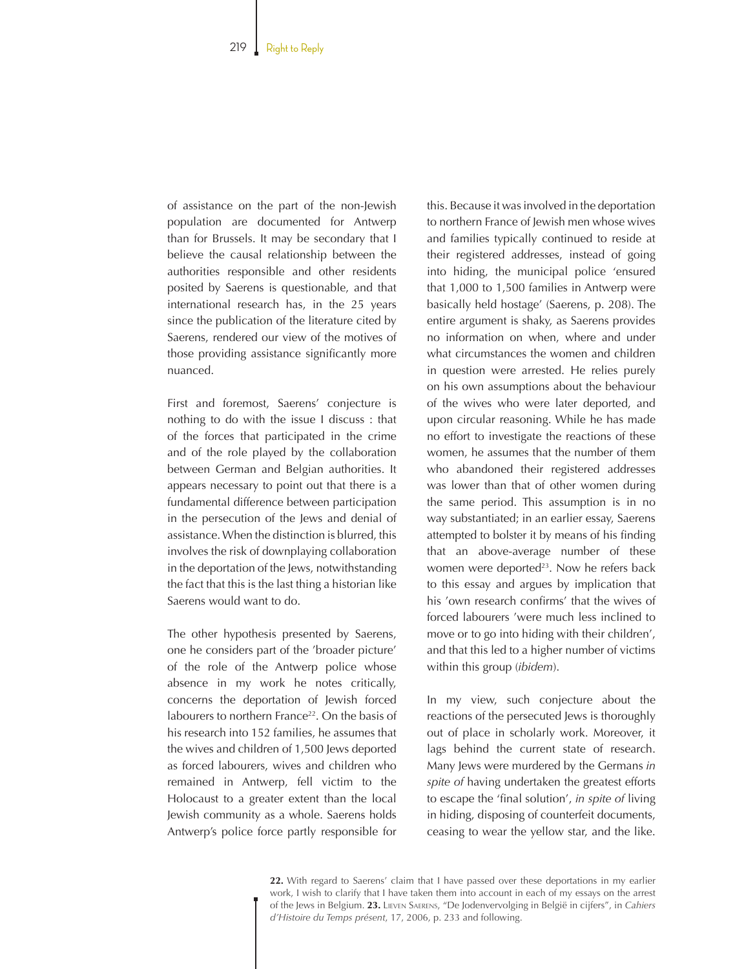of assistance on the part of the non-Jewish population are documented for Antwerp than for Brussels. It may be secondary that I believe the causal relationship between the authorities responsible and other residents posited by Saerens is questionable, and that international research has, in the 25 years since the publication of the literature cited by Saerens, rendered our view of the motives of those providing assistance significantly more nuanced.

First and foremost, Saerens' conjecture is nothing to do with the issue I discuss : that of the forces that participated in the crime and of the role played by the collaboration between German and Belgian authorities. It appears necessary to point out that there is a fundamental difference between participation in the persecution of the Jews and denial of assistance. When the distinction is blurred, this involves the risk of downplaying collaboration in the deportation of the Jews, notwithstanding the fact that this is the last thing a historian like Saerens would want to do.

The other hypothesis presented by Saerens, one he considers part of the 'broader picture' of the role of the Antwerp police whose absence in my work he notes critically, concerns the deportation of Jewish forced labourers to northern France<sup>22</sup>. On the basis of his research into 152 families, he assumes that the wives and children of 1,500 Jews deported as forced labourers, wives and children who remained in Antwerp, fell victim to the Holocaust to a greater extent than the local Jewish community as a whole. Saerens holds Antwerp's police force partly responsible for this. Because it was involved in the deportation to northern France of Jewish men whose wives and families typically continued to reside at their registered addresses, instead of going into hiding, the municipal police 'ensured that 1,000 to 1,500 families in Antwerp were basically held hostage' (Saerens, p. 208). The entire argument is shaky, as Saerens provides no information on when, where and under what circumstances the women and children in question were arrested. He relies purely on his own assumptions about the behaviour of the wives who were later deported, and upon circular reasoning. While he has made no effort to investigate the reactions of these women, he assumes that the number of them who abandoned their registered addresses was lower than that of other women during the same period. This assumption is in no way substantiated; in an earlier essay, Saerens attempted to bolster it by means of his finding that an above-average number of these women were deported<sup>23</sup>. Now he refers back to this essay and argues by implication that his 'own research confirms' that the wives of forced labourers 'were much less inclined to move or to go into hiding with their children', and that this led to a higher number of victims within this group (*ibidem*).

In my view, such conjecture about the reactions of the persecuted Jews is thoroughly out of place in scholarly work. Moreover, it lags behind the current state of research. Many Jews were murdered by the Germans *in spite of* having undertaken the greatest efforts to escape the 'final solution', *in spite of* living in hiding, disposing of counterfeit documents, ceasing to wear the yellow star, and the like.

**22.** With regard to Saerens' claim that I have passed over these deportations in my earlier work, I wish to clarify that I have taken them into account in each of my essays on the arrest of the Jews in Belgium. **23.** Lieven Saerens, "De Jodenvervolging in België in cijfers", in *Cahiers d'Histoire du Temps présent*, 17, 2006, p. 233 and following.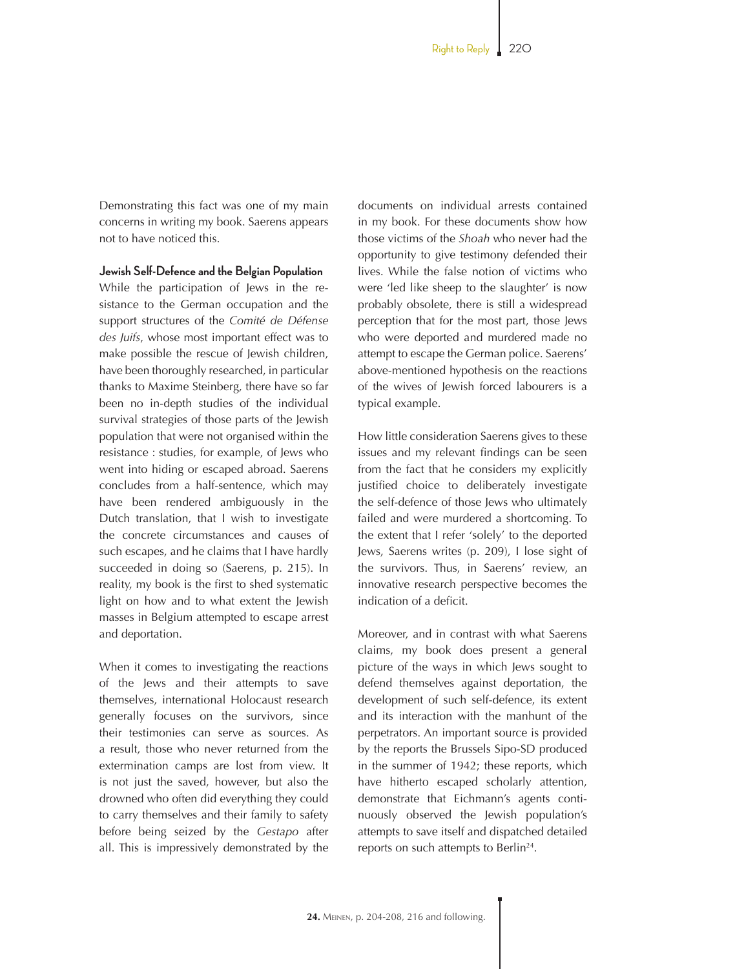Demonstrating this fact was one of my main concerns in writing my book. Saerens appears not to have noticed this.

**Jewish Self-Defence and the Belgian Population**

While the participation of Jews in the resistance to the German occupation and the support structures of the *Comité de Défense des Juifs*, whose most important effect was to make possible the rescue of Jewish children, have been thoroughly researched, in particular thanks to Maxime Steinberg, there have so far been no in-depth studies of the individual survival strategies of those parts of the Jewish population that were not organised within the resistance : studies, for example, of Jews who went into hiding or escaped abroad. Saerens concludes from a half-sentence, which may have been rendered ambiguously in the Dutch translation, that I wish to investigate the concrete circumstances and causes of such escapes, and he claims that I have hardly succeeded in doing so (Saerens, p. 215). In reality, my book is the first to shed systematic light on how and to what extent the Jewish masses in Belgium attempted to escape arrest and deportation.

When it comes to investigating the reactions of the Jews and their attempts to save themselves, international Holocaust research generally focuses on the survivors, since their testimonies can serve as sources. As a result, those who never returned from the extermination camps are lost from view. It is not just the saved, however, but also the drowned who often did everything they could to carry themselves and their family to safety before being seized by the *Gestapo* after all. This is impressively demonstrated by the documents on individual arrests contained in my book. For these documents show how those victims of the *Shoah* who never had the opportunity to give testimony defended their lives. While the false notion of victims who were 'led like sheep to the slaughter' is now probably obsolete, there is still a widespread perception that for the most part, those Jews who were deported and murdered made no attempt to escape the German police. Saerens' above-mentioned hypothesis on the reactions of the wives of Jewish forced labourers is a typical example.

How little consideration Saerens gives to these issues and my relevant findings can be seen from the fact that he considers my explicitly justified choice to deliberately investigate the self-defence of those Jews who ultimately failed and were murdered a shortcoming. To the extent that I refer 'solely' to the deported Jews, Saerens writes (p. 209), I lose sight of the survivors. Thus, in Saerens' review, an innovative research perspective becomes the indication of a deficit.

Moreover, and in contrast with what Saerens claims, my book does present a general picture of the ways in which Jews sought to defend themselves against deportation, the development of such self-defence, its extent and its interaction with the manhunt of the perpetrators. An important source is provided by the reports the Brussels Sipo-SD produced in the summer of 1942; these reports, which have hitherto escaped scholarly attention, demonstrate that Eichmann's agents continuously observed the Jewish population's attempts to save itself and dispatched detailed reports on such attempts to Berlin<sup>24</sup>.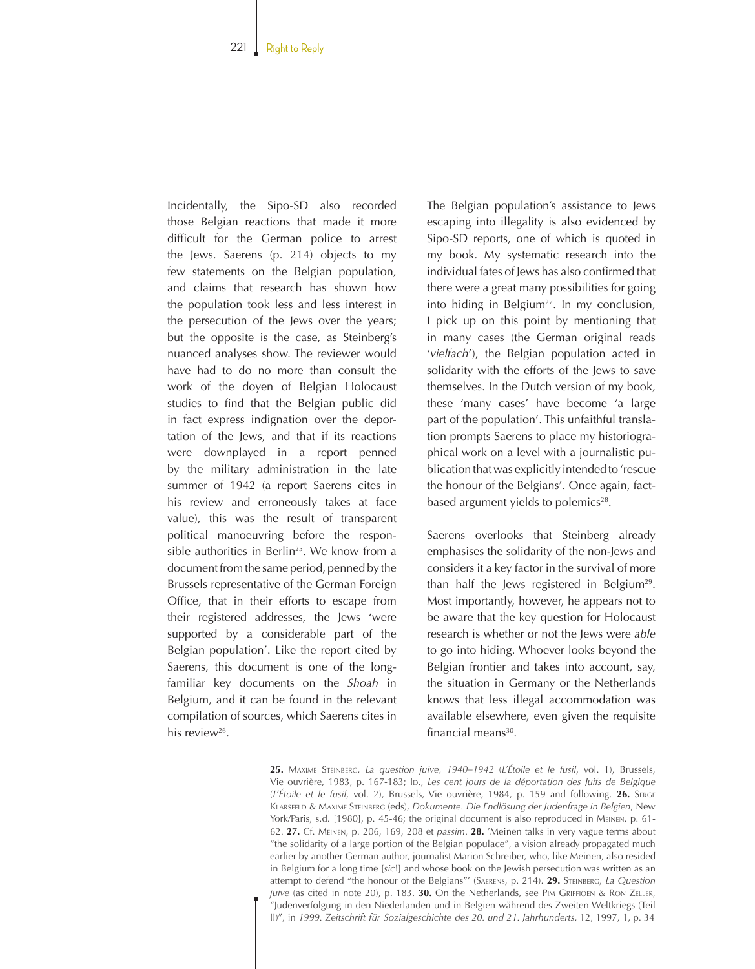Incidentally, the Sipo-SD also recorded those Belgian reactions that made it more difficult for the German police to arrest the Jews. Saerens (p. 214) objects to my few statements on the Belgian population, and claims that research has shown how the population took less and less interest in the persecution of the Jews over the years; but the opposite is the case, as Steinberg's nuanced analyses show. The reviewer would have had to do no more than consult the work of the doyen of Belgian Holocaust studies to find that the Belgian public did in fact express indignation over the deportation of the Jews, and that if its reactions were downplayed in a report penned by the military administration in the late summer of 1942 (a report Saerens cites in his review and erroneously takes at face value), this was the result of transparent political manoeuvring before the responsible authorities in Berlin<sup>25</sup>. We know from a document from the same period, penned by the Brussels representative of the German Foreign Office, that in their efforts to escape from their registered addresses, the Jews 'were supported by a considerable part of the Belgian population'. Like the report cited by Saerens, this document is one of the longfamiliar key documents on the *Shoah* in Belgium, and it can be found in the relevant compilation of sources, which Saerens cites in his review<sup>26</sup>.

The Belgian population's assistance to Jews escaping into illegality is also evidenced by Sipo-SD reports, one of which is quoted in my book. My systematic research into the individual fates of Jews has also confirmed that there were a great many possibilities for going into hiding in Belgium<sup>27</sup>. In my conclusion, I pick up on this point by mentioning that in many cases (the German original reads '*vielfach*'), the Belgian population acted in solidarity with the efforts of the Jews to save themselves. In the Dutch version of my book, these 'many cases' have become 'a large part of the population'. This unfaithful translation prompts Saerens to place my historiographical work on a level with a journalistic publication that was explicitly intended to 'rescue the honour of the Belgians'. Once again, factbased argument yields to polemics<sup>28</sup>.

Saerens overlooks that Steinberg already emphasises the solidarity of the non-Jews and considers it a key factor in the survival of more than half the Jews registered in Belgium29. Most importantly, however, he appears not to be aware that the key question for Holocaust research is whether or not the Jews were *able* to go into hiding. Whoever looks beyond the Belgian frontier and takes into account, say, the situation in Germany or the Netherlands knows that less illegal accommodation was available elsewhere, even given the requisite financial means<sup>30</sup>.

**25.** Maxime Steinberg, *La question juive, 1940–1942* (*L'Étoile et le fusil*, vol. 1), Brussels, Vie ouvrière, 1983, p. 167-183; lp., *Les cent jours de la déportation des Juifs de Belgique* (*L'Étoile et le fusil*, vol. 2), Brussels, Vie ouvrière, 1984, p. 159 and following. **26.** Serge Klarsfeld & Maxime Steinberg (eds), *Dokumente. Die Endlösung der Judenfrage in Belgien*, New York/Paris, s.d. [1980], p. 45-46; the original document is also reproduced in MEINEN, p. 61-62. **27.** Cf. Meinen, p. 206, 169, 208 et *passim*. **28.** 'Meinen talks in very vague terms about "the solidarity of a large portion of the Belgian populace", a vision already propagated much earlier by another German author, journalist Marion Schreiber, who, like Meinen, also resided in Belgium for a long time [*sic*!] and whose book on the Jewish persecution was written as an attempt to defend "the honour of the Belgians"' (Saerens, p. 214). **29.** Steinberg, *La Question juive* (as cited in note 20), p. 183. **30.** On the Netherlands, see PIM GRIFFIOEN & RON ZELLER, "Judenverfolgung in den Niederlanden und in Belgien während des Zweiten Weltkriegs (Teil II)", in *1999. Zeitschrift für Sozialgeschichte des 20. und 21. Jahrhunderts*, 12, 1997, 1, p. 34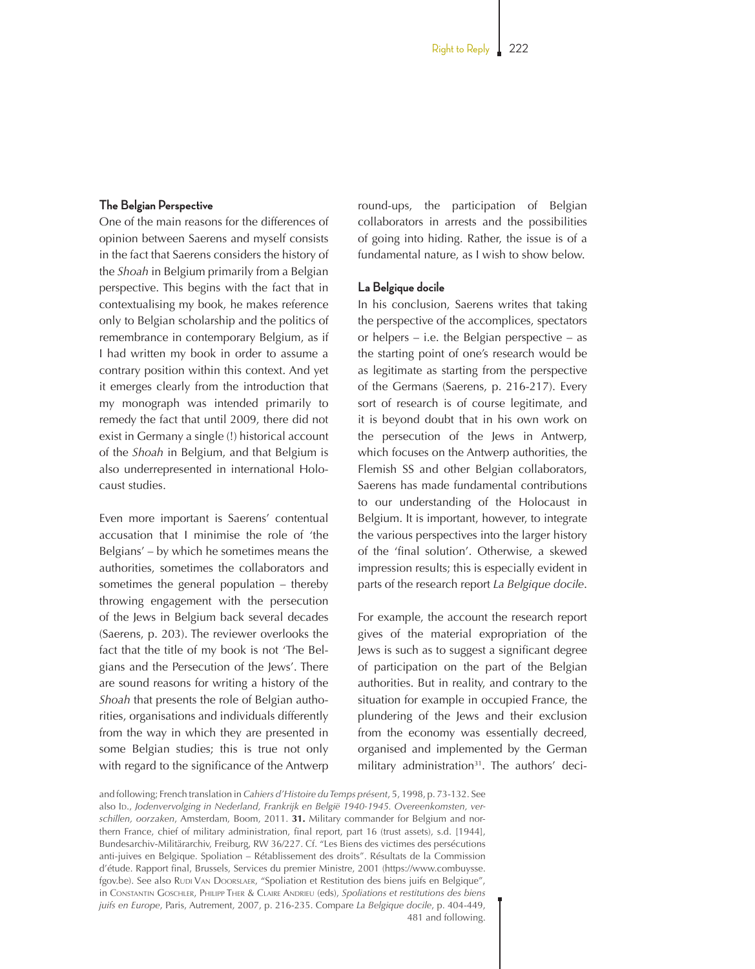#### **The Belgian Perspective**

One of the main reasons for the differences of opinion between Saerens and myself consists in the fact that Saerens considers the history of the *Shoah* in Belgium primarily from a Belgian perspective. This begins with the fact that in contextualising my book, he makes reference only to Belgian scholarship and the politics of remembrance in contemporary Belgium, as if I had written my book in order to assume a contrary position within this context. And yet it emerges clearly from the introduction that my monograph was intended primarily to remedy the fact that until 2009, there did not exist in Germany a single (!) historical account of the *Shoah* in Belgium, and that Belgium is also underrepresented in international Holocaust studies.

Even more important is Saerens' contentual accusation that I minimise the role of 'the Belgians' – by which he sometimes means the authorities, sometimes the collaborators and sometimes the general population – thereby throwing engagement with the persecution of the Jews in Belgium back several decades (Saerens, p. 203). The reviewer overlooks the fact that the title of my book is not 'The Belgians and the Persecution of the Jews'. There are sound reasons for writing a history of the *Shoah* that presents the role of Belgian authorities, organisations and individuals differently from the way in which they are presented in some Belgian studies; this is true not only with regard to the significance of the Antwerp round-ups, the participation of Belgian collaborators in arrests and the possibilities of going into hiding. Rather, the issue is of a fundamental nature, as I wish to show below.

#### **La Belgique docile**

In his conclusion, Saerens writes that taking the perspective of the accomplices, spectators or helpers – i.e. the Belgian perspective – as the starting point of one's research would be as legitimate as starting from the perspective of the Germans (Saerens, p. 216-217). Every sort of research is of course legitimate, and it is beyond doubt that in his own work on the persecution of the Jews in Antwerp, which focuses on the Antwerp authorities, the Flemish SS and other Belgian collaborators, Saerens has made fundamental contributions to our understanding of the Holocaust in Belgium. It is important, however, to integrate the various perspectives into the larger history of the 'final solution'. Otherwise, a skewed impression results; this is especially evident in parts of the research report *La Belgique docile*.

For example, the account the research report gives of the material expropriation of the Jews is such as to suggest a significant degree of participation on the part of the Belgian authorities. But in reality, and contrary to the situation for example in occupied France, the plundering of the Jews and their exclusion from the economy was essentially decreed, organised and implemented by the German military administration<sup>31</sup>. The authors' deci-

and following; French translation in *Cahiers d'Histoire du Temps présent*, 5, 1998, p. 73-132. See also Id., *Jodenvervolging in Nederland, Frankrijk en België 1940-1945. Overeenkomsten, verschillen, oorzaken*, Amsterdam, Boom, 2011. **31.** Military commander for Belgium and northern France, chief of military administration, final report, part 16 (trust assets), s.d. [1944], Bundesarchiv-Militärarchiv, Freiburg, RW 36/227. Cf. "Les Biens des victimes des persécutions anti-juives en Belgique. Spoliation – Rétablissement des droits". Résultats de la Commission d'étude. Rapport final, Brussels, Services du premier Ministre, 2001 (https://www.combuysse. fgov.be). See also Runi VAN DOORSLAER, "Spoliation et Restitution des biens juifs en Belgique", in Constantin Goschler, Philipp Ther & Claire Andrieu (eds), *Spoliations et restitutions des biens juifs en Europe*, Paris, Autrement, 2007, p. 216-235. Compare *La Belgique docile*, p. 404-449, 481 and following.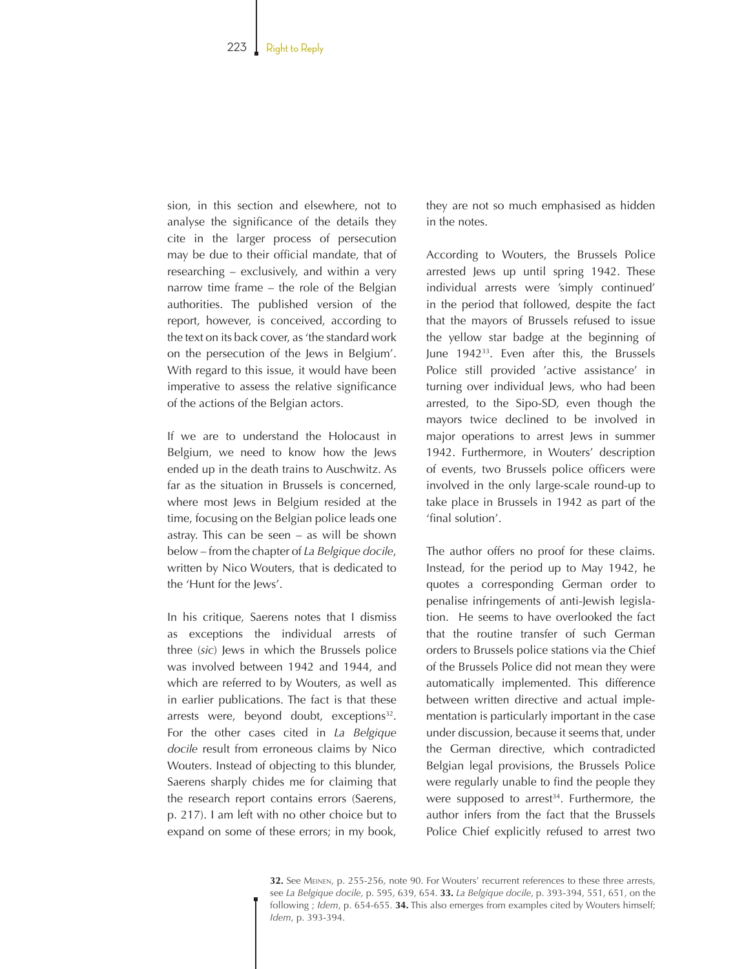sion, in this section and elsewhere, not to analyse the significance of the details they cite in the larger process of persecution may be due to their official mandate, that of researching – exclusively, and within a very narrow time frame – the role of the Belgian authorities. The published version of the report, however, is conceived, according to the text on its back cover, as 'the standard work on the persecution of the Jews in Belgium'. With regard to this issue, it would have been imperative to assess the relative significance of the actions of the Belgian actors.

If we are to understand the Holocaust in Belgium, we need to know how the Jews ended up in the death trains to Auschwitz. As far as the situation in Brussels is concerned, where most Jews in Belgium resided at the time, focusing on the Belgian police leads one astray. This can be seen – as will be shown below – from the chapter of *La Belgique docile*, written by Nico Wouters, that is dedicated to the 'Hunt for the Jews'.

In his critique, Saerens notes that I dismiss as exceptions the individual arrests of three (*sic*) Jews in which the Brussels police was involved between 1942 and 1944, and which are referred to by Wouters, as well as in earlier publications. The fact is that these arrests were, beyond doubt, exceptions<sup>32</sup>. For the other cases cited in *La Belgique docile* result from erroneous claims by Nico Wouters. Instead of objecting to this blunder, Saerens sharply chides me for claiming that the research report contains errors (Saerens, p. 217). I am left with no other choice but to expand on some of these errors; in my book, they are not so much emphasised as hidden in the notes.

According to Wouters, the Brussels Police arrested Jews up until spring 1942. These individual arrests were 'simply continued' in the period that followed, despite the fact that the mayors of Brussels refused to issue the yellow star badge at the beginning of June 194233. Even after this, the Brussels Police still provided 'active assistance' in turning over individual Jews, who had been arrested, to the Sipo-SD, even though the mayors twice declined to be involved in major operations to arrest Jews in summer 1942. Furthermore, in Wouters' description of events, two Brussels police officers were involved in the only large-scale round-up to take place in Brussels in 1942 as part of the 'final solution'.

The author offers no proof for these claims. Instead, for the period up to May 1942, he quotes a corresponding German order to penalise infringements of anti-Jewish legislation. He seems to have overlooked the fact that the routine transfer of such German orders to Brussels police stations via the Chief of the Brussels Police did not mean they were automatically implemented. This difference between written directive and actual implementation is particularly important in the case under discussion, because it seems that, under the German directive, which contradicted Belgian legal provisions, the Brussels Police were regularly unable to find the people they were supposed to arrest<sup>34</sup>. Furthermore, the author infers from the fact that the Brussels Police Chief explicitly refused to arrest two

**32.** See Meinen, p. 255-256, note 90. For Wouters' recurrent references to these three arrests, see *La Belgique docile,* p. 595, 639, 654. **33.** *La Belgique docile*, p. 393-394, 551, 651, on the following ; *Idem*, p. 654-655. **34.** This also emerges from examples cited by Wouters himself; *Idem*, p. 393-394.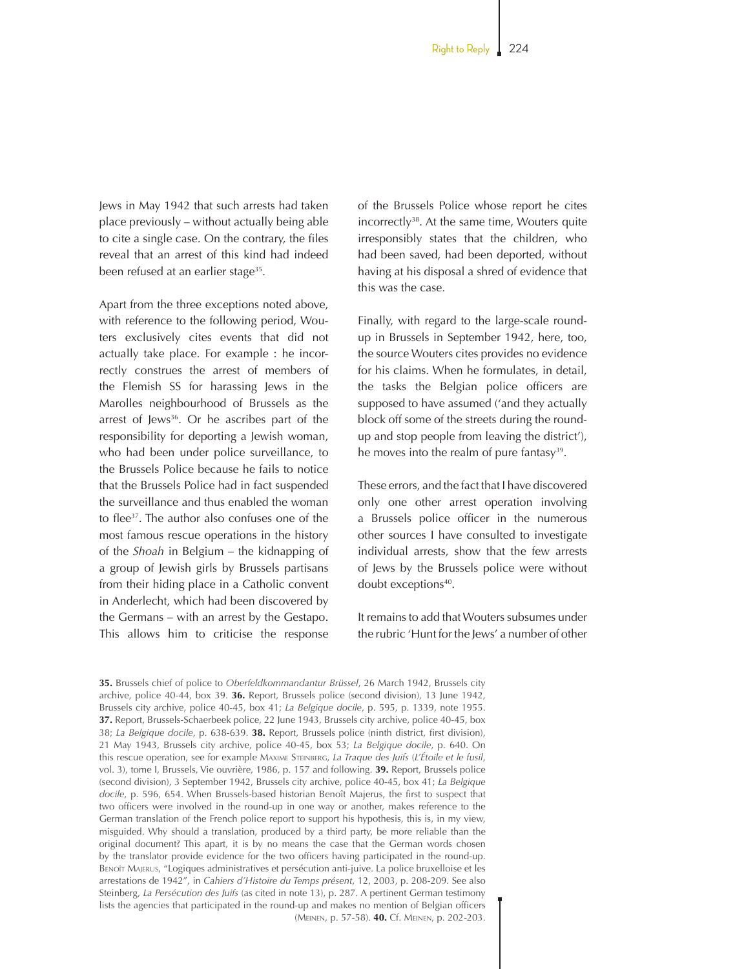Jews in May 1942 that such arrests had taken place previously – without actually being able to cite a single case. On the contrary, the files reveal that an arrest of this kind had indeed been refused at an earlier stage<sup>35</sup>.

Apart from the three exceptions noted above, with reference to the following period, Wouters exclusively cites events that did not actually take place. For example : he incorrectly construes the arrest of members of the Flemish SS for harassing Jews in the Marolles neighbourhood of Brussels as the arrest of Jews<sup>36</sup>. Or he ascribes part of the responsibility for deporting a Jewish woman, who had been under police surveillance, to the Brussels Police because he fails to notice that the Brussels Police had in fact suspended the surveillance and thus enabled the woman to flee37. The author also confuses one of the most famous rescue operations in the history of the *Shoah* in Belgium – the kidnapping of a group of Jewish girls by Brussels partisans from their hiding place in a Catholic convent in Anderlecht, which had been discovered by the Germans – with an arrest by the Gestapo. This allows him to criticise the response of the Brussels Police whose report he cites incorrectly38. At the same time, Wouters quite irresponsibly states that the children, who had been saved, had been deported, without having at his disposal a shred of evidence that this was the case.

Finally, with regard to the large-scale roundup in Brussels in September 1942, here, too, the source Wouters cites provides no evidence for his claims. When he formulates, in detail, the tasks the Belgian police officers are supposed to have assumed ('and they actually block off some of the streets during the roundup and stop people from leaving the district'), he moves into the realm of pure fantasy<sup>39</sup>.

These errors, and the fact that I have discovered only one other arrest operation involving a Brussels police officer in the numerous other sources I have consulted to investigate individual arrests, show that the few arrests of Jews by the Brussels police were without doubt exceptions<sup>40</sup>.

It remains to add that Wouters subsumes under the rubric 'Hunt for the Jews' a number of other

**35.** Brussels chief of police to *Oberfeldkommandantur Brüssel*, 26 March 1942, Brussels city archive, police 40-44, box 39. **36.** Report, Brussels police (second division), 13 June 1942, Brussels city archive, police 40-45, box 41; *La Belgique docile*, p. 595, p. 1339, note 1955. **37.** Report, Brussels-Schaerbeek police, 22 June 1943, Brussels city archive, police 40-45, box 38; *La Belgique docile*, p. 638-639. **38.** Report, Brussels police (ninth district, first division), 21 May 1943, Brussels city archive, police 40-45, box 53; *La Belgique docile*, p. 640. On this rescue operation, see for example Maxime Steinberg, *La Traque des Juifs* (*L'Étoile et le fusil*, vol. 3), tome I, Brussels, Vie ouvrière, 1986, p. 157 and following. **39.** Report, Brussels police (second division), 3 September 1942, Brussels city archive, police 40-45, box 41; *La Belgique docile*, p. 596, 654. When Brussels-based historian Benoît Majerus, the first to suspect that two officers were involved in the round-up in one way or another, makes reference to the German translation of the French police report to support his hypothesis, this is, in my view, misguided. Why should a translation, produced by a third party, be more reliable than the original document? This apart, it is by no means the case that the German words chosen by the translator provide evidence for the two officers having participated in the round-up. Benoît Majerus, "Logiques administratives et persécution anti-juive. La police bruxelloise et les arrestations de 1942", in *Cahiers d'Histoire du Temps présent*, 12, 2003, p. 208-209. See also Steinberg, *La Persécution des Juifs* (as cited in note 13), p. 287. A pertinent German testimony lists the agencies that participated in the round-up and makes no mention of Belgian officers (Meinen, p. 57-58). **40.** Cf. Meinen, p. 202-203.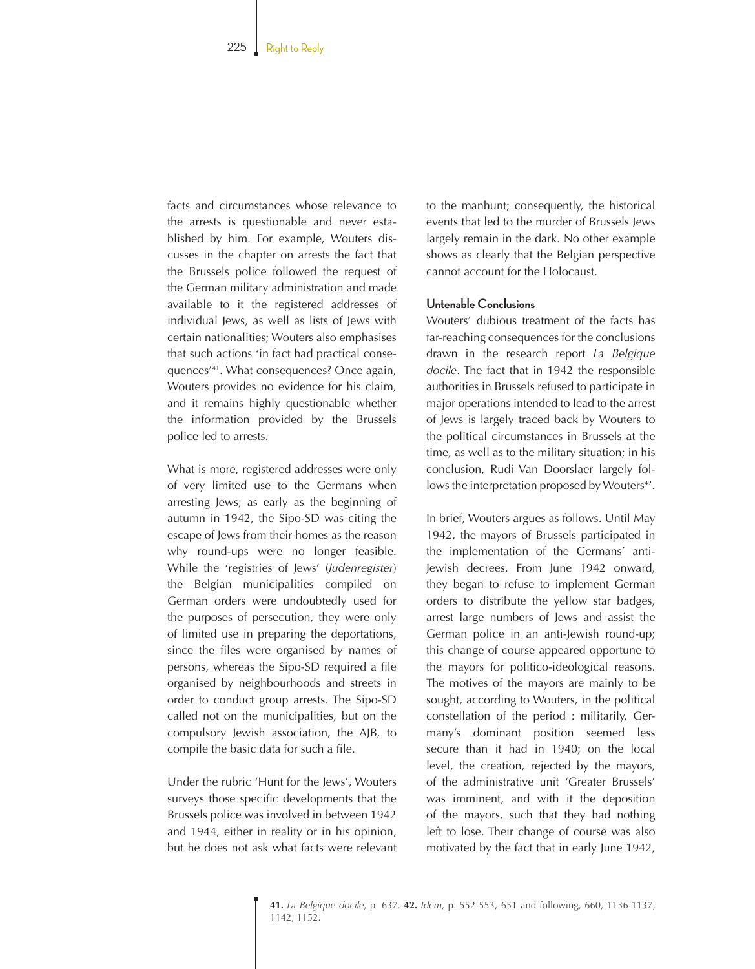facts and circumstances whose relevance to the arrests is questionable and never established by him. For example, Wouters discusses in the chapter on arrests the fact that the Brussels police followed the request of the German military administration and made available to it the registered addresses of individual Jews, as well as lists of Jews with certain nationalities; Wouters also emphasises that such actions 'in fact had practical consequences'<sup>41</sup>. What consequences? Once again, Wouters provides no evidence for his claim, and it remains highly questionable whether the information provided by the Brussels police led to arrests.

What is more, registered addresses were only of very limited use to the Germans when arresting Jews; as early as the beginning of autumn in 1942, the Sipo-SD was citing the escape of Jews from their homes as the reason why round-ups were no longer feasible. While the 'registries of Jews' (*Judenregister*) the Belgian municipalities compiled on German orders were undoubtedly used for the purposes of persecution, they were only of limited use in preparing the deportations, since the files were organised by names of persons, whereas the Sipo-SD required a file organised by neighbourhoods and streets in order to conduct group arrests. The Sipo-SD called not on the municipalities, but on the compulsory Jewish association, the AJB, to compile the basic data for such a file.

Under the rubric 'Hunt for the Jews', Wouters surveys those specific developments that the Brussels police was involved in between 1942 and 1944, either in reality or in his opinion, but he does not ask what facts were relevant to the manhunt; consequently, the historical events that led to the murder of Brussels Jews largely remain in the dark. No other example shows as clearly that the Belgian perspective cannot account for the Holocaust.

### **Untenable Conclusions**

Wouters' dubious treatment of the facts has far-reaching consequences for the conclusions drawn in the research report *La Belgique docile*. The fact that in 1942 the responsible authorities in Brussels refused to participate in major operations intended to lead to the arrest of Jews is largely traced back by Wouters to the political circumstances in Brussels at the time, as well as to the military situation; in his conclusion, Rudi Van Doorslaer largely follows the interpretation proposed by Wouters<sup>42</sup>.

In brief, Wouters argues as follows. Until May 1942, the mayors of Brussels participated in the implementation of the Germans' anti-Jewish decrees. From June 1942 onward, they began to refuse to implement German orders to distribute the yellow star badges, arrest large numbers of Jews and assist the German police in an anti-Jewish round-up; this change of course appeared opportune to the mayors for politico-ideological reasons. The motives of the mayors are mainly to be sought, according to Wouters, in the political constellation of the period : militarily, Germany's dominant position seemed less secure than it had in 1940; on the local level, the creation, rejected by the mayors, of the administrative unit 'Greater Brussels' was imminent, and with it the deposition of the mayors, such that they had nothing left to lose. Their change of course was also motivated by the fact that in early June 1942,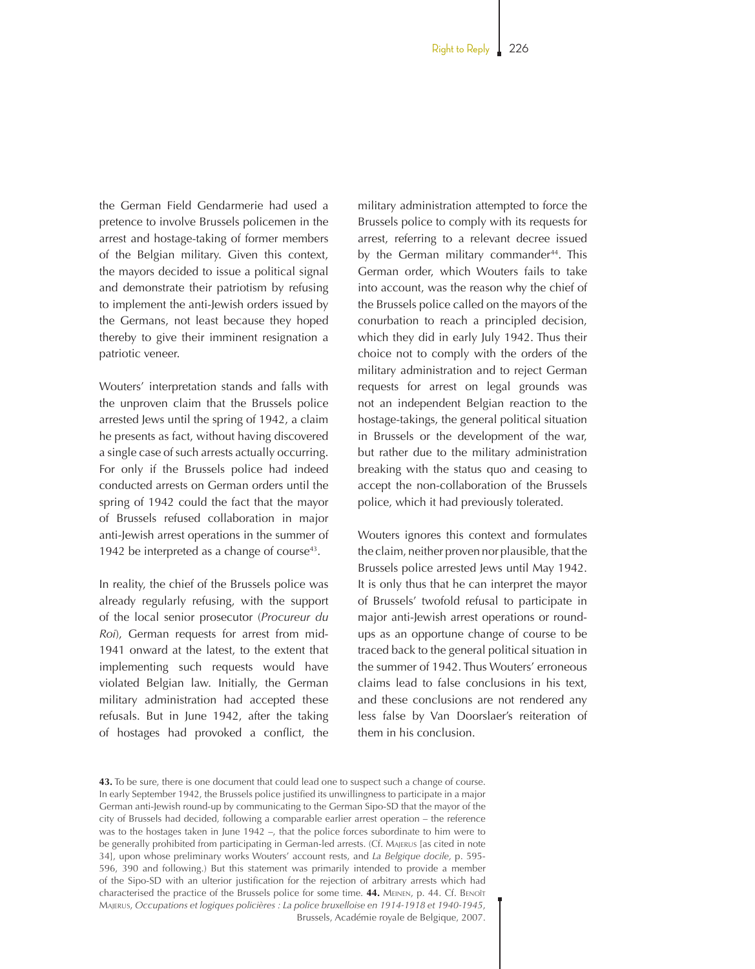the German Field Gendarmerie had used a pretence to involve Brussels policemen in the arrest and hostage-taking of former members of the Belgian military. Given this context, the mayors decided to issue a political signal and demonstrate their patriotism by refusing to implement the anti-Jewish orders issued by the Germans, not least because they hoped thereby to give their imminent resignation a patriotic veneer.

Wouters' interpretation stands and falls with the unproven claim that the Brussels police arrested Jews until the spring of 1942, a claim he presents as fact, without having discovered a single case of such arrests actually occurring. For only if the Brussels police had indeed conducted arrests on German orders until the spring of 1942 could the fact that the mayor of Brussels refused collaboration in major anti-Jewish arrest operations in the summer of 1942 be interpreted as a change of course $43$ .

In reality, the chief of the Brussels police was already regularly refusing, with the support of the local senior prosecutor (*Procureur du Roi*), German requests for arrest from mid-1941 onward at the latest, to the extent that implementing such requests would have violated Belgian law. Initially, the German military administration had accepted these refusals. But in June 1942, after the taking of hostages had provoked a conflict, the military administration attempted to force the Brussels police to comply with its requests for arrest, referring to a relevant decree issued by the German military commander<sup>44</sup>. This German order, which Wouters fails to take into account, was the reason why the chief of the Brussels police called on the mayors of the conurbation to reach a principled decision, which they did in early July 1942. Thus their choice not to comply with the orders of the military administration and to reject German requests for arrest on legal grounds was not an independent Belgian reaction to the hostage-takings, the general political situation in Brussels or the development of the war, but rather due to the military administration breaking with the status quo and ceasing to accept the non-collaboration of the Brussels police, which it had previously tolerated.

Wouters ignores this context and formulates the claim, neither proven nor plausible, that the Brussels police arrested Jews until May 1942. It is only thus that he can interpret the mayor of Brussels' twofold refusal to participate in major anti-Jewish arrest operations or roundups as an opportune change of course to be traced back to the general political situation in the summer of 1942. Thus Wouters' erroneous claims lead to false conclusions in his text, and these conclusions are not rendered any less false by Van Doorslaer's reiteration of them in his conclusion.

**<sup>43.</sup>** To be sure, there is one document that could lead one to suspect such a change of course. In early September 1942, the Brussels police justified its unwillingness to participate in a major German anti-Jewish round-up by communicating to the German Sipo-SD that the mayor of the city of Brussels had decided, following a comparable earlier arrest operation – the reference was to the hostages taken in June 1942 –, that the police forces subordinate to him were to be generally prohibited from participating in German-led arrests. (Cf. Majerus [as cited in note 34], upon whose preliminary works Wouters' account rests, and *La Belgique docile,* p. 595-596, 390 and following.) But this statement was primarily intended to provide a member of the Sipo-SD with an ulterior justification for the rejection of arbitrary arrests which had characterised the practice of the Brussels police for some time. **44.** Meinen, p. 44. Cf. Benoît Majerus, *Occupations et logiques policières : La police bruxelloise en 1914-1918 et 1940-1945*, Brussels, Académie royale de Belgique, 2007.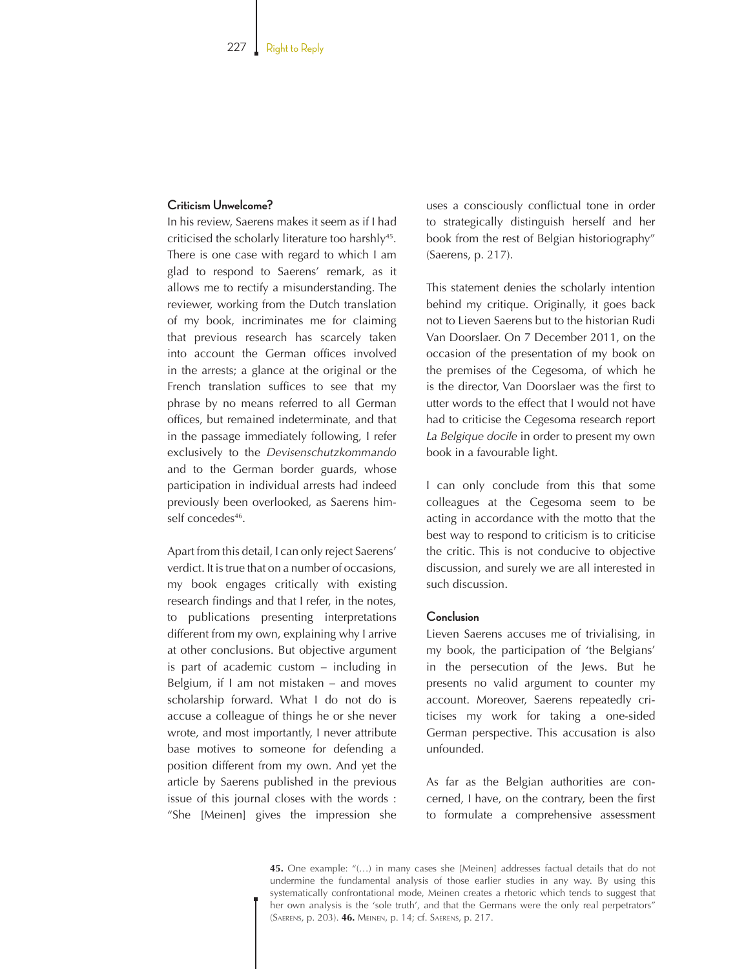#### **Criticism Unwelcome?**

In his review, Saerens makes it seem as if I had criticised the scholarly literature too harshly<sup>45</sup>. There is one case with regard to which I am glad to respond to Saerens' remark, as it allows me to rectify a misunderstanding. The reviewer, working from the Dutch translation of my book, incriminates me for claiming that previous research has scarcely taken into account the German offices involved in the arrests; a glance at the original or the French translation suffices to see that my phrase by no means referred to all German offices, but remained indeterminate, and that in the passage immediately following, I refer exclusively to the *Devisenschutzkommando* and to the German border guards, whose participation in individual arrests had indeed previously been overlooked, as Saerens himself concedes46.

Apart from this detail, I can only reject Saerens' verdict. It is true that on a number of occasions, my book engages critically with existing research findings and that I refer, in the notes, to publications presenting interpretations different from my own, explaining why I arrive at other conclusions. But objective argument is part of academic custom – including in Belgium, if I am not mistaken – and moves scholarship forward. What I do not do is accuse a colleague of things he or she never wrote, and most importantly, I never attribute base motives to someone for defending a position different from my own. And yet the article by Saerens published in the previous issue of this journal closes with the words : "She [Meinen] gives the impression she

uses a consciously conflictual tone in order to strategically distinguish herself and her book from the rest of Belgian historiography" (Saerens, p. 217).

This statement denies the scholarly intention behind my critique. Originally, it goes back not to Lieven Saerens but to the historian Rudi Van Doorslaer. On 7 December 2011, on the occasion of the presentation of my book on the premises of the Cegesoma, of which he is the director, Van Doorslaer was the first to utter words to the effect that I would not have had to criticise the Cegesoma research report *La Belgique docile* in order to present my own book in a favourable light.

I can only conclude from this that some colleagues at the Cegesoma seem to be acting in accordance with the motto that the best way to respond to criticism is to criticise the critic. This is not conducive to objective discussion, and surely we are all interested in such discussion.

#### **Conclusion**

Lieven Saerens accuses me of trivialising, in my book, the participation of 'the Belgians' in the persecution of the Jews. But he presents no valid argument to counter my account. Moreover, Saerens repeatedly criticises my work for taking a one-sided German perspective. This accusation is also unfounded.

As far as the Belgian authorities are concerned, I have, on the contrary, been the first to formulate a comprehensive assessment

**45.** One example: "(…) in many cases she [Meinen] addresses factual details that do not undermine the fundamental analysis of those earlier studies in any way. By using this systematically confrontational mode, Meinen creates a rhetoric which tends to suggest that her own analysis is the 'sole truth', and that the Germans were the only real perpetrators" (Saerens, p. 203). **46.** Meinen, p. 14; cf. Saerens, p. 217.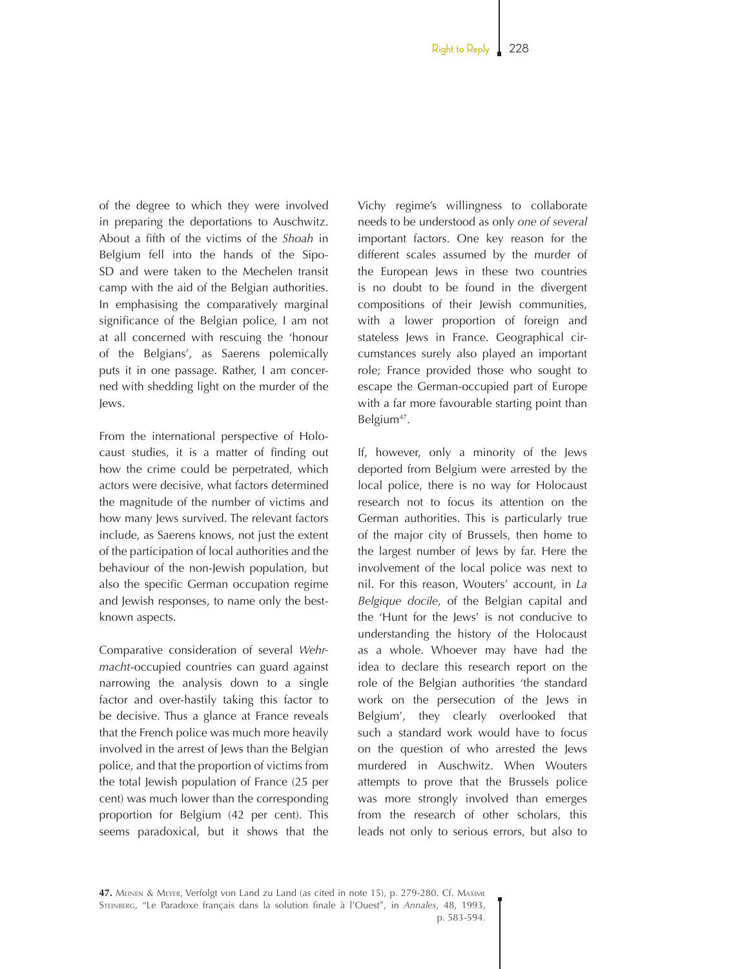of the degree to which they were involved in preparing the deportations to Auschwitz. About a fifth of the victims of the *Shoah* in Belgium fell into the hands of the Sipo-SD and were taken to the Mechelen transit camp with the aid of the Belgian authorities. In emphasising the comparatively marginal significance of the Belgian police, I am not at all concerned with rescuing the 'honour of the Belgians', as Saerens polemically puts it in one passage. Rather, I am concerned with shedding light on the murder of the Jews.

From the international perspective of Holocaust studies, it is a matter of finding out how the crime could be perpetrated, which actors were decisive, what factors determined the magnitude of the number of victims and how many Jews survived. The relevant factors include, as Saerens knows, not just the extent of the participation of local authorities and the behaviour of the non-Jewish population, but also the specific German occupation regime and Jewish responses, to name only the bestknown aspects.

Comparative consideration of several *Wehrmacht*-occupied countries can guard against narrowing the analysis down to a single factor and over-hastily taking this factor to be decisive. Thus a glance at France reveals that the French police was much more heavily involved in the arrest of Jews than the Belgian police, and that the proportion of victims from the total Jewish population of France (25 per cent) was much lower than the corresponding proportion for Belgium (42 per cent). This seems paradoxical, but it shows that the Vichy regime's willingness to collaborate needs to be understood as only *one of several* important factors. One key reason for the different scales assumed by the murder of the European Jews in these two countries is no doubt to be found in the divergent compositions of their Jewish communities, with a lower proportion of foreign and stateless Jews in France. Geographical circumstances surely also played an important role; France provided those who sought to escape the German-occupied part of Europe with a far more favourable starting point than Belgium<sup>47</sup>.

If, however, only a minority of the Jews deported from Belgium were arrested by the local police, there is no way for Holocaust research not to focus its attention on the German authorities. This is particularly true of the major city of Brussels, then home to the largest number of Jews by far. Here the involvement of the local police was next to nil. For this reason, Wouters' account, in *La Belgique docile*, of the Belgian capital and the 'Hunt for the Jews' is not conducive to understanding the history of the Holocaust as a whole. Whoever may have had the idea to declare this research report on the role of the Belgian authorities 'the standard work on the persecution of the Jews in Belgium', they clearly overlooked that such a standard work would have to focus on the question of who arrested the Jews murdered in Auschwitz. When Wouters attempts to prove that the Brussels police was more strongly involved than emerges from the research of other scholars, this leads not only to serious errors, but also to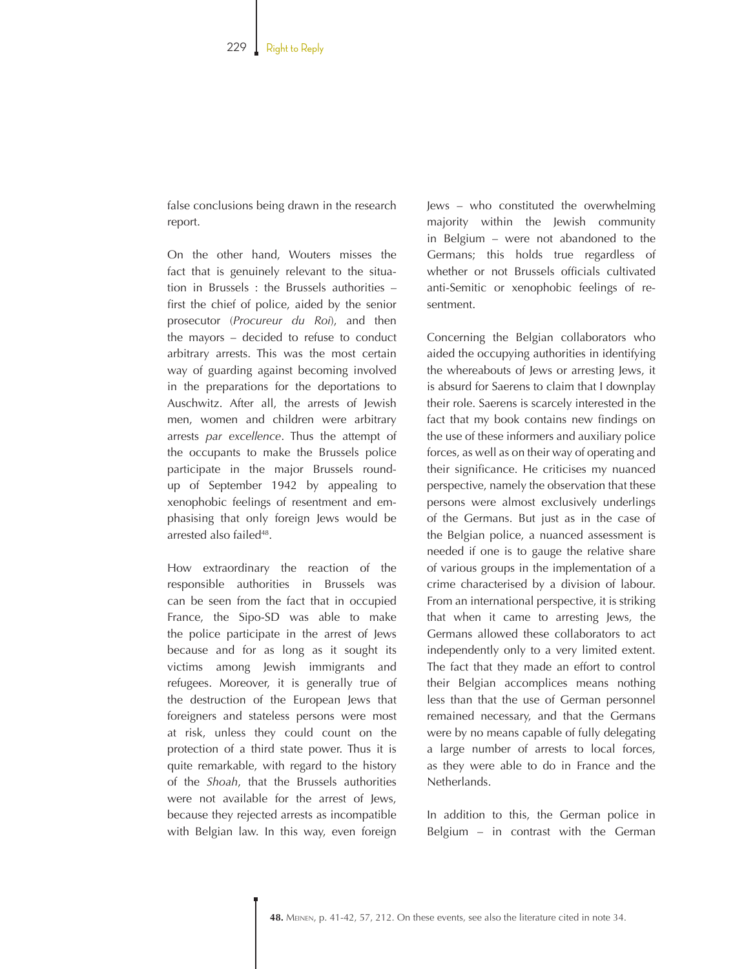false conclusions being drawn in the research report.

On the other hand, Wouters misses the fact that is genuinely relevant to the situation in Brussels : the Brussels authorities – first the chief of police, aided by the senior prosecutor (*Procureur du Roi*), and then the mayors – decided to refuse to conduct arbitrary arrests. This was the most certain way of guarding against becoming involved in the preparations for the deportations to Auschwitz. After all, the arrests of Jewish men, women and children were arbitrary arrests *par excellence*. Thus the attempt of the occupants to make the Brussels police participate in the major Brussels roundup of September 1942 by appealing to xenophobic feelings of resentment and emphasising that only foreign Jews would be arrested also failed<sup>48</sup>.

How extraordinary the reaction of the responsible authorities in Brussels was can be seen from the fact that in occupied France, the Sipo-SD was able to make the police participate in the arrest of Jews because and for as long as it sought its victims among Jewish immigrants and refugees. Moreover, it is generally true of the destruction of the European Jews that foreigners and stateless persons were most at risk, unless they could count on the protection of a third state power. Thus it is quite remarkable, with regard to the history of the *Shoah*, that the Brussels authorities were not available for the arrest of Jews, because they rejected arrests as incompatible with Belgian law. In this way, even foreign

Jews – who constituted the overwhelming majority within the Jewish community in Belgium – were not abandoned to the Germans; this holds true regardless of whether or not Brussels officials cultivated anti-Semitic or xenophobic feelings of resentment.

Concerning the Belgian collaborators who aided the occupying authorities in identifying the whereabouts of Jews or arresting Jews, it is absurd for Saerens to claim that I downplay their role. Saerens is scarcely interested in the fact that my book contains new findings on the use of these informers and auxiliary police forces, as well as on their way of operating and their significance. He criticises my nuanced perspective, namely the observation that these persons were almost exclusively underlings of the Germans. But just as in the case of the Belgian police, a nuanced assessment is needed if one is to gauge the relative share of various groups in the implementation of a crime characterised by a division of labour. From an international perspective, it is striking that when it came to arresting Jews, the Germans allowed these collaborators to act independently only to a very limited extent. The fact that they made an effort to control their Belgian accomplices means nothing less than that the use of German personnel remained necessary, and that the Germans were by no means capable of fully delegating a large number of arrests to local forces, as they were able to do in France and the Netherlands.

In addition to this, the German police in Belgium – in contrast with the German